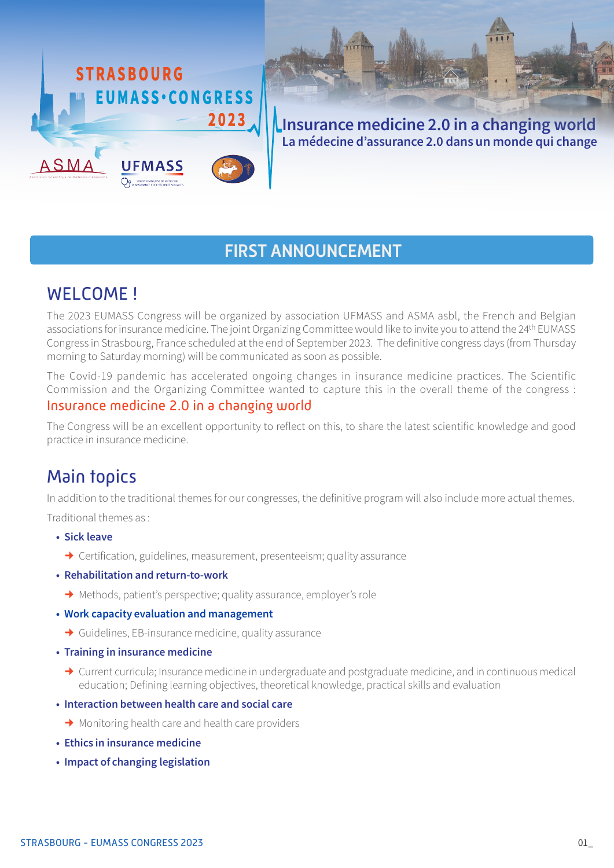

Insurance medicine 2.0 in a changing world

La médecine d'assurance 2.0 dans un monde qui change

## FIRST ANNOUNCEMENT

# WELCOME!

The 2023 EUMASS Congress will be organized by association UFMASS and ASMA asbl, the French and Belgian associations for insurance medicine. The joint Organizing Committee would like to invite you to attend the 24<sup>th</sup> EUMASS Congress in Strasbourg, France scheduled at the end of September 2023. The definitive congress days (from Thursday morning to Saturday morning) will be communicated as soon as possible.

The Covid-19 pandemic has accelerated ongoing changes in insurance medicine practices. The Scientific Commission and the Organizing Committee wanted to capture this in the overall theme of the congress : Insurance medicine 2.0 in a changing world

The Congress will be an excellent opportunity to reflect on this, to share the latest scientific knowledge and good practice in insurance medicine.

## Main topics

In addition to the traditional themes for our congresses, the definitive program will also include more actual themes.

Traditional themes as :

- • Sick leave
	- → Certification, guidelines, measurement, presenteeism; quality assurance
- Rehabilitation and return-to-work
	- Methods, patient's perspective; quality assurance, employer's role
- • Work capacity evaluation and management
	- $\rightarrow$  Guidelines, EB-insurance medicine, quality assurance
- Training in insurance medicine
	- ◆ Current curricula; Insurance medicine in undergraduate and postgraduate medicine, and in continuous medical education; Defining learning objectives, theoretical knowledge, practical skills and evaluation
- Interaction between health care and social care
	- $\rightarrow$  Monitoring health care and health care providers
- Ethics in insurance medicine
- Impact of changing legislation